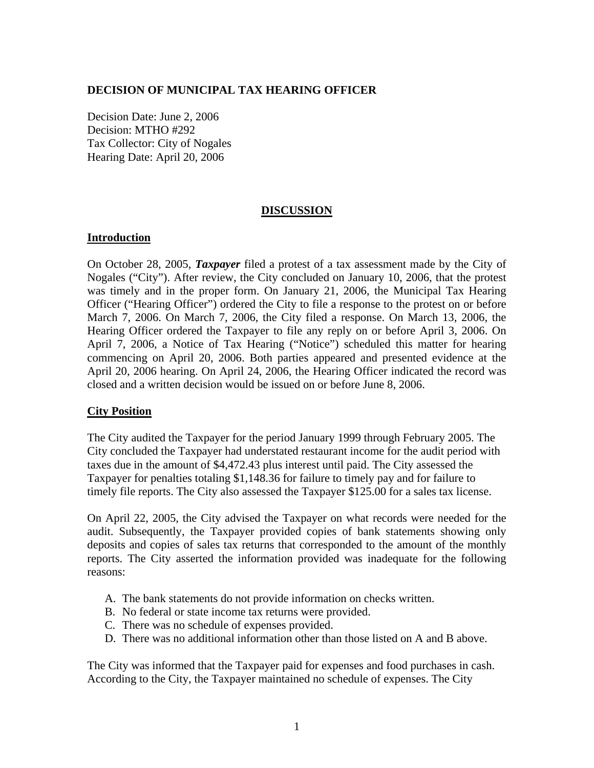## **DECISION OF MUNICIPAL TAX HEARING OFFICER**

Decision Date: June 2, 2006 Decision: MTHO #292 Tax Collector: City of Nogales Hearing Date: April 20, 2006

## **DISCUSSION**

### **Introduction**

On October 28, 2005, *Taxpayer* filed a protest of a tax assessment made by the City of Nogales ("City"). After review, the City concluded on January 10, 2006, that the protest was timely and in the proper form. On January 21, 2006, the Municipal Tax Hearing Officer ("Hearing Officer") ordered the City to file a response to the protest on or before March 7, 2006. On March 7, 2006, the City filed a response. On March 13, 2006, the Hearing Officer ordered the Taxpayer to file any reply on or before April 3, 2006. On April 7, 2006, a Notice of Tax Hearing ("Notice") scheduled this matter for hearing commencing on April 20, 2006. Both parties appeared and presented evidence at the April 20, 2006 hearing. On April 24, 2006, the Hearing Officer indicated the record was closed and a written decision would be issued on or before June 8, 2006.

### **City Position**

The City audited the Taxpayer for the period January 1999 through February 2005. The City concluded the Taxpayer had understated restaurant income for the audit period with taxes due in the amount of \$4,472.43 plus interest until paid. The City assessed the Taxpayer for penalties totaling \$1,148.36 for failure to timely pay and for failure to timely file reports. The City also assessed the Taxpayer \$125.00 for a sales tax license.

On April 22, 2005, the City advised the Taxpayer on what records were needed for the audit. Subsequently, the Taxpayer provided copies of bank statements showing only deposits and copies of sales tax returns that corresponded to the amount of the monthly reports. The City asserted the information provided was inadequate for the following reasons:

- A. The bank statements do not provide information on checks written.
- B. No federal or state income tax returns were provided.
- C. There was no schedule of expenses provided.
- D. There was no additional information other than those listed on A and B above.

The City was informed that the Taxpayer paid for expenses and food purchases in cash. According to the City, the Taxpayer maintained no schedule of expenses. The City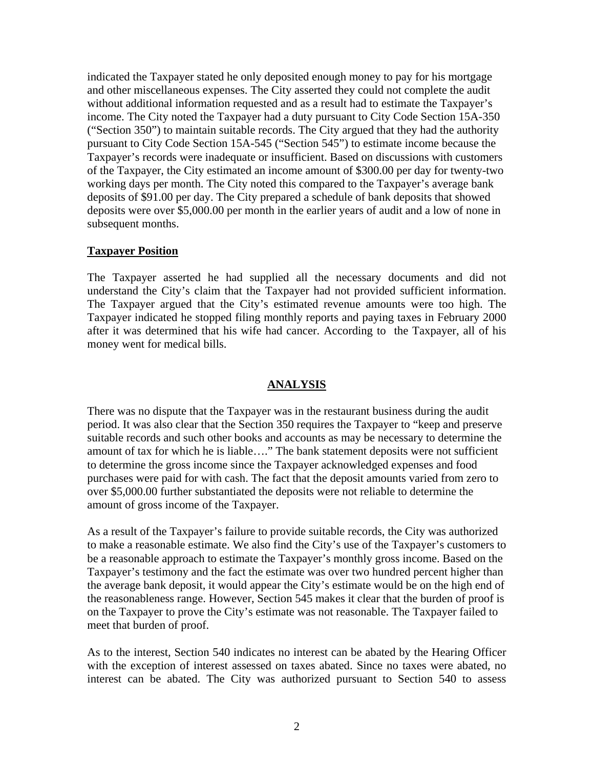indicated the Taxpayer stated he only deposited enough money to pay for his mortgage and other miscellaneous expenses. The City asserted they could not complete the audit without additional information requested and as a result had to estimate the Taxpayer's income. The City noted the Taxpayer had a duty pursuant to City Code Section 15A-350 ("Section 350") to maintain suitable records. The City argued that they had the authority pursuant to City Code Section 15A-545 ("Section 545") to estimate income because the Taxpayer's records were inadequate or insufficient. Based on discussions with customers of the Taxpayer, the City estimated an income amount of \$300.00 per day for twenty-two working days per month. The City noted this compared to the Taxpayer's average bank deposits of \$91.00 per day. The City prepared a schedule of bank deposits that showed deposits were over \$5,000.00 per month in the earlier years of audit and a low of none in subsequent months.

## **Taxpayer Position**

The Taxpayer asserted he had supplied all the necessary documents and did not understand the City's claim that the Taxpayer had not provided sufficient information. The Taxpayer argued that the City's estimated revenue amounts were too high. The Taxpayer indicated he stopped filing monthly reports and paying taxes in February 2000 after it was determined that his wife had cancer. According to the Taxpayer, all of his money went for medical bills.

## **ANALYSIS**

There was no dispute that the Taxpayer was in the restaurant business during the audit period. It was also clear that the Section 350 requires the Taxpayer to "keep and preserve suitable records and such other books and accounts as may be necessary to determine the amount of tax for which he is liable…." The bank statement deposits were not sufficient to determine the gross income since the Taxpayer acknowledged expenses and food purchases were paid for with cash. The fact that the deposit amounts varied from zero to over \$5,000.00 further substantiated the deposits were not reliable to determine the amount of gross income of the Taxpayer.

As a result of the Taxpayer's failure to provide suitable records, the City was authorized to make a reasonable estimate. We also find the City's use of the Taxpayer's customers to be a reasonable approach to estimate the Taxpayer's monthly gross income. Based on the Taxpayer's testimony and the fact the estimate was over two hundred percent higher than the average bank deposit, it would appear the City's estimate would be on the high end of the reasonableness range. However, Section 545 makes it clear that the burden of proof is on the Taxpayer to prove the City's estimate was not reasonable. The Taxpayer failed to meet that burden of proof.

As to the interest, Section 540 indicates no interest can be abated by the Hearing Officer with the exception of interest assessed on taxes abated. Since no taxes were abated, no interest can be abated. The City was authorized pursuant to Section 540 to assess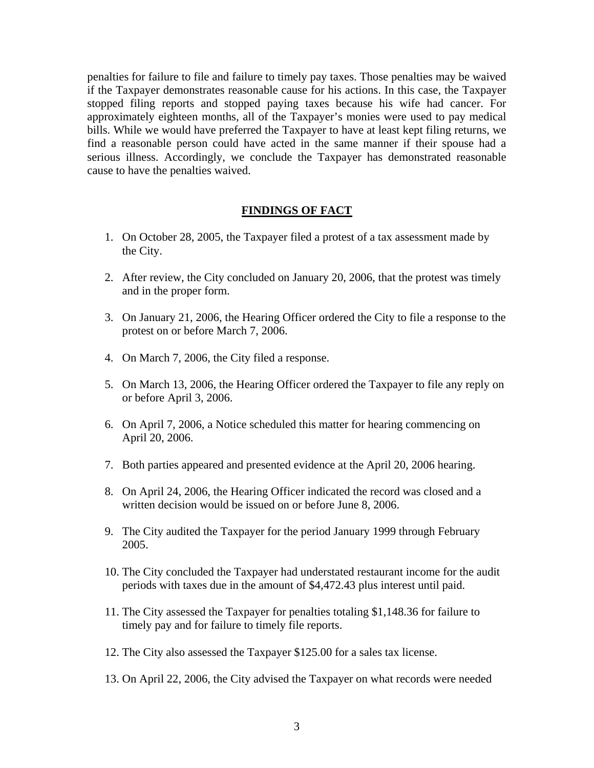penalties for failure to file and failure to timely pay taxes. Those penalties may be waived if the Taxpayer demonstrates reasonable cause for his actions. In this case, the Taxpayer stopped filing reports and stopped paying taxes because his wife had cancer. For approximately eighteen months, all of the Taxpayer's monies were used to pay medical bills. While we would have preferred the Taxpayer to have at least kept filing returns, we find a reasonable person could have acted in the same manner if their spouse had a serious illness. Accordingly, we conclude the Taxpayer has demonstrated reasonable cause to have the penalties waived.

#### **FINDINGS OF FACT**

- 1. On October 28, 2005, the Taxpayer filed a protest of a tax assessment made by the City.
- 2. After review, the City concluded on January 20, 2006, that the protest was timely and in the proper form.
- 3. On January 21, 2006, the Hearing Officer ordered the City to file a response to the protest on or before March 7, 2006.
- 4. On March 7, 2006, the City filed a response.
- 5. On March 13, 2006, the Hearing Officer ordered the Taxpayer to file any reply on or before April 3, 2006.
- 6. On April 7, 2006, a Notice scheduled this matter for hearing commencing on April 20, 2006.
- 7. Both parties appeared and presented evidence at the April 20, 2006 hearing.
- 8. On April 24, 2006, the Hearing Officer indicated the record was closed and a written decision would be issued on or before June 8, 2006.
- 9. The City audited the Taxpayer for the period January 1999 through February 2005.
- 10. The City concluded the Taxpayer had understated restaurant income for the audit periods with taxes due in the amount of \$4,472.43 plus interest until paid.
- 11. The City assessed the Taxpayer for penalties totaling \$1,148.36 for failure to timely pay and for failure to timely file reports.
- 12. The City also assessed the Taxpayer \$125.00 for a sales tax license.
- 13. On April 22, 2006, the City advised the Taxpayer on what records were needed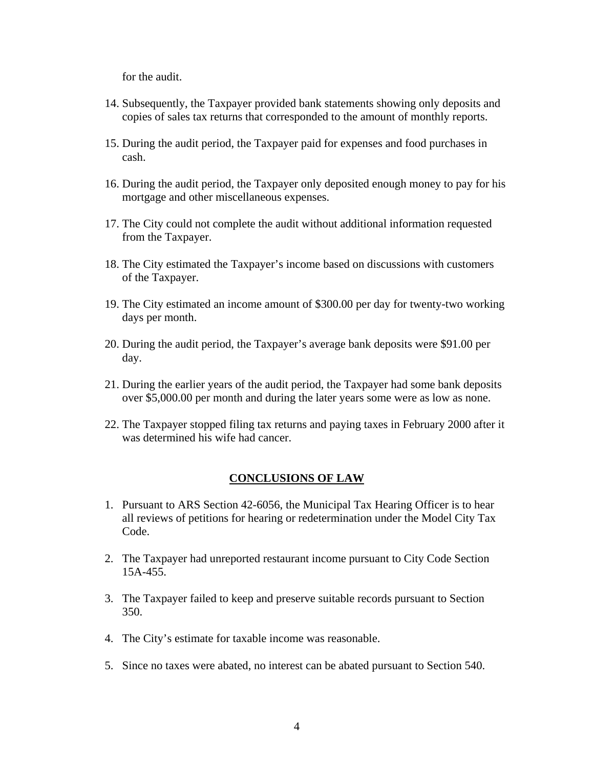for the audit.

- 14. Subsequently, the Taxpayer provided bank statements showing only deposits and copies of sales tax returns that corresponded to the amount of monthly reports.
- 15. During the audit period, the Taxpayer paid for expenses and food purchases in cash.
- 16. During the audit period, the Taxpayer only deposited enough money to pay for his mortgage and other miscellaneous expenses.
- 17. The City could not complete the audit without additional information requested from the Taxpayer.
- 18. The City estimated the Taxpayer's income based on discussions with customers of the Taxpayer.
- 19. The City estimated an income amount of \$300.00 per day for twenty-two working days per month.
- 20. During the audit period, the Taxpayer's average bank deposits were \$91.00 per day.
- 21. During the earlier years of the audit period, the Taxpayer had some bank deposits over \$5,000.00 per month and during the later years some were as low as none.
- 22. The Taxpayer stopped filing tax returns and paying taxes in February 2000 after it was determined his wife had cancer.

#### **CONCLUSIONS OF LAW**

- 1. Pursuant to ARS Section 42-6056, the Municipal Tax Hearing Officer is to hear all reviews of petitions for hearing or redetermination under the Model City Tax Code.
- 2. The Taxpayer had unreported restaurant income pursuant to City Code Section 15A-455.
- 3. The Taxpayer failed to keep and preserve suitable records pursuant to Section 350.
- 4. The City's estimate for taxable income was reasonable.
- 5. Since no taxes were abated, no interest can be abated pursuant to Section 540.